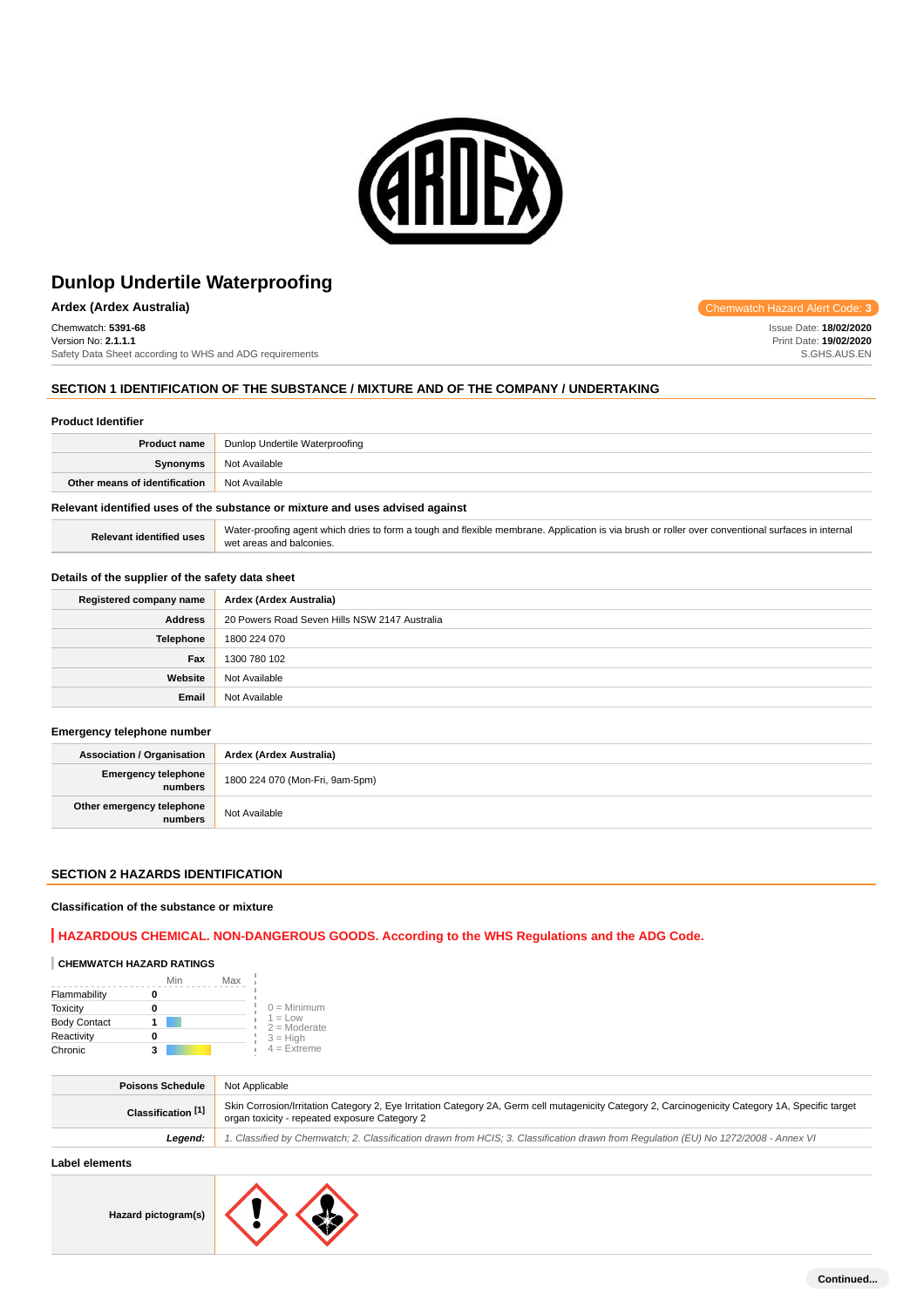

## **Ardex (Ardex Australia)** Chemwatch Hazard Alert Code: **3**

Chemwatch: **5391-68** Version No: **2.1.1.1** Safety Data Sheet according to WHS and ADG requirements

## **SECTION 1 IDENTIFICATION OF THE SUBSTANCE / MIXTURE AND OF THE COMPANY / UNDERTAKING**

#### **Product Identifier**

| <b>Product name</b>           | Dunlop Undertile Waterproofing |
|-------------------------------|--------------------------------|
| <b>Synonyms</b>               | Not Available                  |
| Other means of identification | Not Available                  |
|                               |                                |

## **Relevant identified uses of the substance or mixture and uses advised against**

Relevant identified uses Water-proofing agent which dries to form a tough and flexible membrane. Application is via brush or roller over conventional surfaces in internal wet areas and balconies.

## **Details of the supplier of the safety data sheet**

| Registered company name | Ardex (Ardex Australia)                       |
|-------------------------|-----------------------------------------------|
| <b>Address</b>          | 20 Powers Road Seven Hills NSW 2147 Australia |
| Telephone               | 1800 224 070                                  |
| Fax                     | 1300 780 102                                  |
| Website                 | Not Available                                 |
| Email                   | Not Available                                 |

#### **Emergency telephone number**

| <b>Association / Organisation</b>    | Ardex (Ardex Australia)         |
|--------------------------------------|---------------------------------|
| Emergency telephone<br>numbers       | 1800 224 070 (Mon-Fri, 9am-5pm) |
| Other emergency telephone<br>numbers | Not Available                   |

## **SECTION 2 HAZARDS IDENTIFICATION**

#### **Classification of the substance or mixture**

## **HAZARDOUS CHEMICAL. NON-DANGEROUS GOODS. According to the WHS Regulations and the ADG Code.**

## **CHEMWATCH HAZARD RATINGS**

|                     | Min | Max |                             |
|---------------------|-----|-----|-----------------------------|
| Flammability        |     |     |                             |
| <b>Toxicity</b>     | Ω   |     | $0 =$ Minimum               |
| <b>Body Contact</b> |     |     | $1 = Low$<br>$2 =$ Moderate |
| Reactivity          | 0   |     | $3 = H$ iah                 |
| Chronic             | з   |     | $4$ = Extreme               |

| <b>Poisons Schedule</b>       | Not Applicable                                                                                                                                                                                     |
|-------------------------------|----------------------------------------------------------------------------------------------------------------------------------------------------------------------------------------------------|
| Classification <sup>[1]</sup> | Skin Corrosion/Irritation Category 2, Eye Irritation Category 2A, Germ cell mutagenicity Category 2, Carcinogenicity Category 1A, Specific target<br>organ toxicity - repeated exposure Category 2 |
| Leaend:                       | 1. Classified by Chemwatch; 2. Classification drawn from HCIS; 3. Classification drawn from Requlation (EU) No 1272/2008 - Annex VI                                                                |
| المقصوص مستحالها المتحالما    |                                                                                                                                                                                                    |

## **Label elements**

**Hazard pictogram(s)**



Issue Date: **18/02/2020** Print Date: **19/02/2020** S.GHS.AUS.EN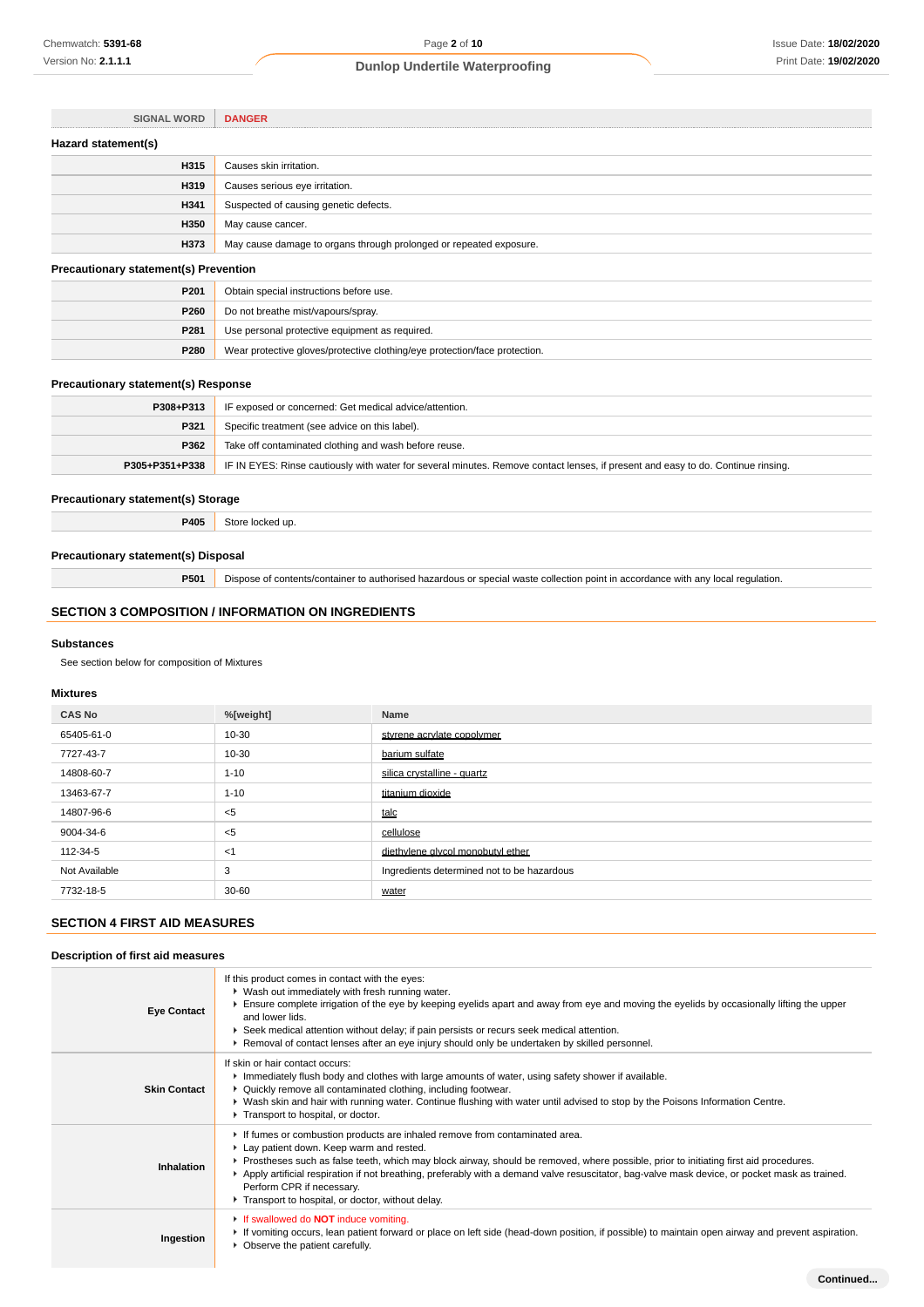| <b>SIGNAL WORD</b>                           | <b>DANGER</b>                                                      |  |
|----------------------------------------------|--------------------------------------------------------------------|--|
| Hazard statement(s)                          |                                                                    |  |
| H315                                         | Causes skin irritation.                                            |  |
| H319                                         | Causes serious eye irritation.                                     |  |
| H341                                         | Suspected of causing genetic defects.                              |  |
| H350                                         | May cause cancer.                                                  |  |
| H373                                         | May cause damage to organs through prolonged or repeated exposure. |  |
| <b>Precautionary statement(s) Prevention</b> |                                                                    |  |
| P <sub>201</sub>                             | Obtain special instructions before use.                            |  |
| P260                                         | Do not breathe mist/vapours/spray.                                 |  |

## **Precautionary statement(s) Response**

| P308+P313      | IF exposed or concerned: Get medical advice/attention.                                                                           |
|----------------|----------------------------------------------------------------------------------------------------------------------------------|
| P321           | Specific treatment (see advice on this label).                                                                                   |
| P362           | Take off contaminated clothing and wash before reuse.                                                                            |
| P305+P351+P338 | IF IN EYES: Rinse cautiously with water for several minutes. Remove contact lenses, if present and easy to do. Continue rinsing. |

## **Precautionary statement(s) Storage**

**P405** Store locked up.

**P281** Use personal protective equipment as required.

**P280** Wear protective gloves/protective clothing/eye protection/face protection.

### **Precautionary statement(s) Disposal**

**P501** Dispose of contents/container to authorised hazardous or special waste collection point in accordance with any local regulation.

## **SECTION 3 COMPOSITION / INFORMATION ON INGREDIENTS**

#### **Substances**

See section below for composition of Mixtures

## **Mixtures**

| <b>CAS No</b> | %[weight] | Name                                       |
|---------------|-----------|--------------------------------------------|
| 65405-61-0    | 10-30     | styrene acrylate copolymer                 |
| 7727-43-7     | 10-30     | barium sulfate                             |
| 14808-60-7    | $1 - 10$  | silica crystalline - quartz                |
| 13463-67-7    | $1 - 10$  | titanium dioxide                           |
| 14807-96-6    | $<$ 5     | talc                                       |
| 9004-34-6     | $<$ 5     | cellulose                                  |
| 112-34-5      | $<$ 1     | diethylene alvcol monobutyl ether          |
| Not Available | 3         | Ingredients determined not to be hazardous |
| 7732-18-5     | $30 - 60$ | water                                      |

## **SECTION 4 FIRST AID MEASURES**

### **Description of first aid measures**

| <b>Eye Contact</b>  | If this product comes in contact with the eyes:<br>• Wash out immediately with fresh running water.<br>Ensure complete irrigation of the eye by keeping eyelids apart and away from eye and moving the eyelids by occasionally lifting the upper<br>and lower lids<br>▶ Seek medical attention without delay; if pain persists or recurs seek medical attention.<br>▶ Removal of contact lenses after an eye injury should only be undertaken by skilled personnel.                                 |
|---------------------|-----------------------------------------------------------------------------------------------------------------------------------------------------------------------------------------------------------------------------------------------------------------------------------------------------------------------------------------------------------------------------------------------------------------------------------------------------------------------------------------------------|
| <b>Skin Contact</b> | If skin or hair contact occurs:<br>Immediately flush body and clothes with large amounts of water, using safety shower if available.<br>• Quickly remove all contaminated clothing, including footwear.<br>▶ Wash skin and hair with running water. Continue flushing with water until advised to stop by the Poisons Information Centre.<br>Transport to hospital, or doctor.                                                                                                                      |
| Inhalation          | If fumes or combustion products are inhaled remove from contaminated area.<br>Lay patient down. Keep warm and rested.<br>▶ Prostheses such as false teeth, which may block airway, should be removed, where possible, prior to initiating first aid procedures.<br>▶ Apply artificial respiration if not breathing, preferably with a demand valve resuscitator, bag-valve mask device, or pocket mask as trained.<br>Perform CPR if necessary.<br>Transport to hospital, or doctor, without delay. |
| Ingestion           | If swallowed do <b>NOT</b> induce vomiting.<br>► If vomiting occurs, lean patient forward or place on left side (head-down position, if possible) to maintain open airway and prevent aspiration.<br>• Observe the patient carefully.                                                                                                                                                                                                                                                               |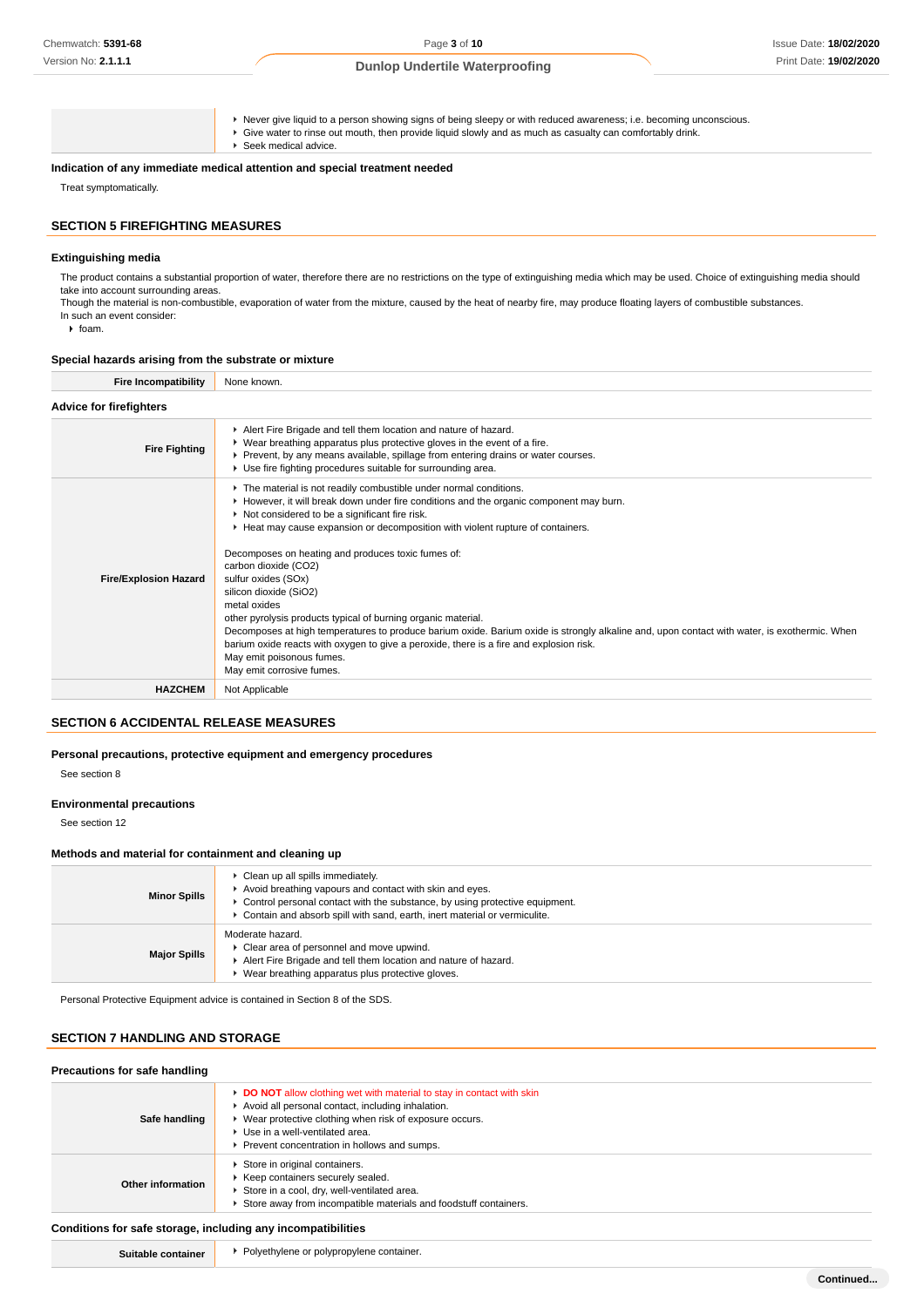Never give liquid to a person showing signs of being sleepy or with reduced awareness; i.e. becoming unconscious. Give water to rinse out mouth, then provide liquid slowly and as much as casualty can comfortably drink. ► Seek medical advice. **Indication of any immediate medical attention and special treatment needed**

Treat symptomatically.

### **SECTION 5 FIREFIGHTING MEASURES**

#### **Extinguishing media**

The product contains a substantial proportion of water, therefore there are no restrictions on the type of extinguishing media which may be used. Choice of extinguishing media should take into account surrounding areas

Though the material is non-combustible, evaporation of water from the mixture, caused by the heat of nearby fire, may produce floating layers of combustible substances. In such an event consider:

 $\rightarrow$  foam.

#### **Special hazards arising from the substrate or mixture**

| <b>Fire Incompatibility</b>    | None known.                                                                                                                                                                                                                                                                                                                                                                                                                                                                                                                                                                                                                                                                                                                                                                                                          |  |  |
|--------------------------------|----------------------------------------------------------------------------------------------------------------------------------------------------------------------------------------------------------------------------------------------------------------------------------------------------------------------------------------------------------------------------------------------------------------------------------------------------------------------------------------------------------------------------------------------------------------------------------------------------------------------------------------------------------------------------------------------------------------------------------------------------------------------------------------------------------------------|--|--|
| <b>Advice for firefighters</b> |                                                                                                                                                                                                                                                                                                                                                                                                                                                                                                                                                                                                                                                                                                                                                                                                                      |  |  |
| <b>Fire Fighting</b>           | Alert Fire Brigade and tell them location and nature of hazard.<br>▶ Wear breathing apparatus plus protective gloves in the event of a fire.<br>► Prevent, by any means available, spillage from entering drains or water courses.<br>▶ Use fire fighting procedures suitable for surrounding area.                                                                                                                                                                                                                                                                                                                                                                                                                                                                                                                  |  |  |
| <b>Fire/Explosion Hazard</b>   | The material is not readily combustible under normal conditions.<br>► However, it will break down under fire conditions and the organic component may burn.<br>Not considered to be a significant fire risk.<br>► Heat may cause expansion or decomposition with violent rupture of containers.<br>Decomposes on heating and produces toxic fumes of:<br>carbon dioxide (CO2)<br>sulfur oxides (SOx)<br>silicon dioxide (SiO2)<br>metal oxides<br>other pyrolysis products typical of burning organic material.<br>Decomposes at high temperatures to produce barium oxide. Barium oxide is strongly alkaline and, upon contact with water, is exothermic. When<br>barium oxide reacts with oxygen to give a peroxide, there is a fire and explosion risk.<br>May emit poisonous fumes.<br>May emit corrosive fumes. |  |  |
| <b>HAZCHEM</b>                 | Not Applicable                                                                                                                                                                                                                                                                                                                                                                                                                                                                                                                                                                                                                                                                                                                                                                                                       |  |  |

## **SECTION 6 ACCIDENTAL RELEASE MEASURES**

## **Personal precautions, protective equipment and emergency procedures**

See section 8

#### **Environmental precautions**

See section 12

#### **Methods and material for containment and cleaning up**

| <b>Minor Spills</b> | Clean up all spills immediately.<br>Avoid breathing vapours and contact with skin and eyes.<br>► Control personal contact with the substance, by using protective equipment.<br>Contain and absorb spill with sand, earth, inert material or vermiculite. |
|---------------------|-----------------------------------------------------------------------------------------------------------------------------------------------------------------------------------------------------------------------------------------------------------|
| <b>Major Spills</b> | Moderate hazard.<br>▶ Clear area of personnel and move upwind.<br>Alert Fire Brigade and tell them location and nature of hazard.<br>Wear breathing apparatus plus protective gloves.                                                                     |

Personal Protective Equipment advice is contained in Section 8 of the SDS.

## **SECTION 7 HANDLING AND STORAGE**

| Precautions for safe handling |                                                                                                                                                                                                                                                                        |  |
|-------------------------------|------------------------------------------------------------------------------------------------------------------------------------------------------------------------------------------------------------------------------------------------------------------------|--|
| Safe handling                 | DO NOT allow clothing wet with material to stay in contact with skin<br>Avoid all personal contact, including inhalation.<br>▶ Wear protective clothing when risk of exposure occurs.<br>Use in a well-ventilated area.<br>Prevent concentration in hollows and sumps. |  |
| <b>Other information</b>      | Store in original containers.<br>Keep containers securely sealed.<br>Store in a cool, dry, well-ventilated area.<br>Store away from incompatible materials and foodstuff containers.                                                                                   |  |

#### **Conditions for safe storage, including any incompatibilities**

| Suitable containe |  |
|-------------------|--|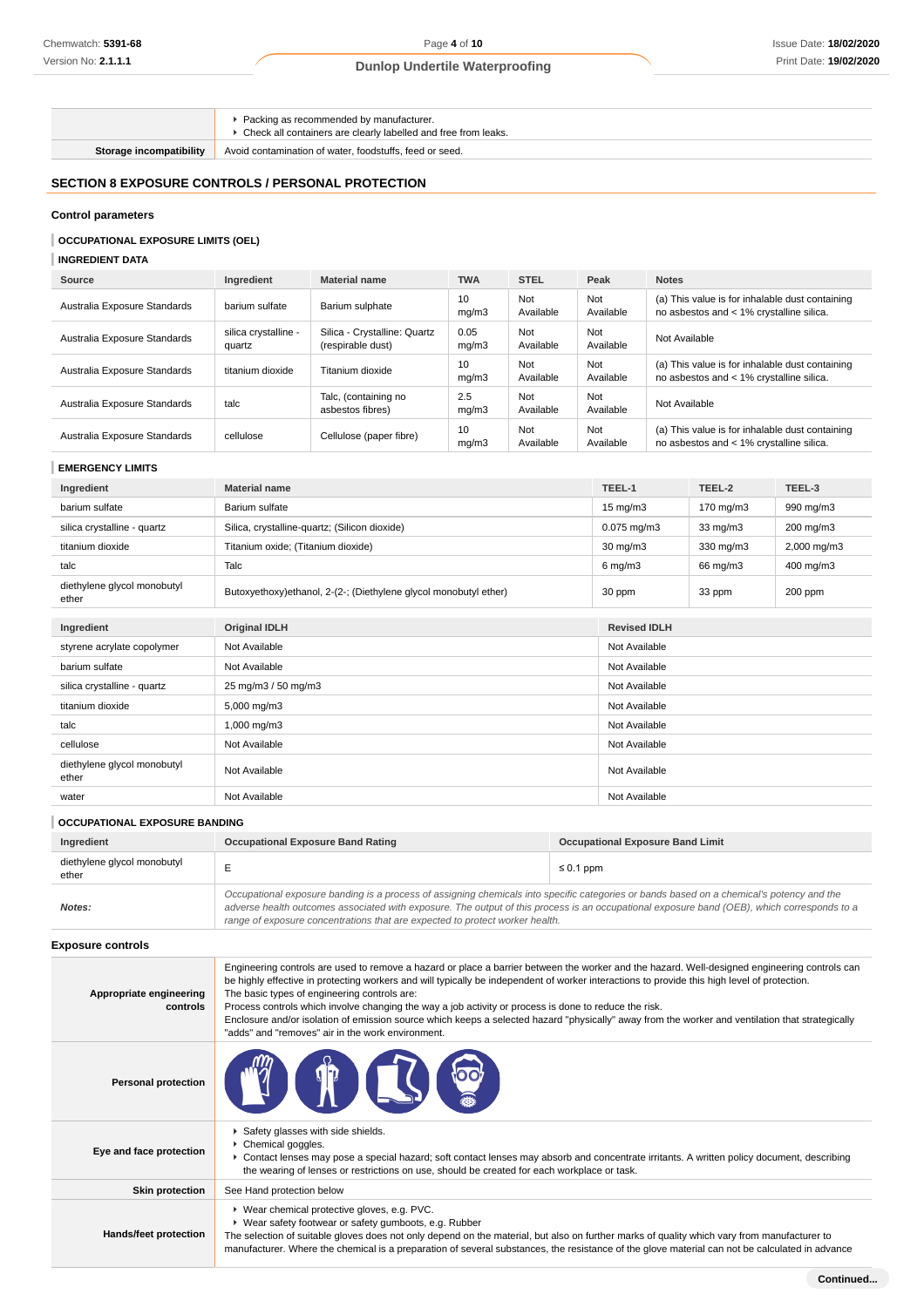Packing as recommended by manufacturer.

Check all containers are clearly labelled and free from leaks.

**Storage incompatibility** Avoid contamination of water, foodstuffs, feed or seed.

## **SECTION 8 EXPOSURE CONTROLS / PERSONAL PROTECTION**

#### **Control parameters**

## **OCCUPATIONAL EXPOSURE LIMITS (OEL)**

**INGREDIENT DATA**

| Source                       | Ingredient                     | <b>Material name</b>                              | <b>TWA</b>    | <b>STEL</b>      | Peak             | <b>Notes</b>                                                                                |
|------------------------------|--------------------------------|---------------------------------------------------|---------------|------------------|------------------|---------------------------------------------------------------------------------------------|
| Australia Exposure Standards | barium sulfate                 | Barium sulphate                                   | 10<br>mq/m3   | Not<br>Available | Not<br>Available | (a) This value is for inhalable dust containing<br>no asbestos and < 1% crystalline silica. |
| Australia Exposure Standards | silica crystalline -<br>quartz | Silica - Crystalline: Quartz<br>(respirable dust) | 0.05<br>mq/m3 | Not<br>Available | Not<br>Available | Not Available                                                                               |
| Australia Exposure Standards | titanium dioxide               | Titanium dioxide                                  | 10<br>mq/m3   | Not<br>Available | Not<br>Available | (a) This value is for inhalable dust containing<br>no asbestos and < 1% crystalline silica. |
| Australia Exposure Standards | talc                           | Talc, (containing no<br>asbestos fibres)          | 2.5<br>mq/m3  | Not<br>Available | Not<br>Available | Not Available                                                                               |
| Australia Exposure Standards | cellulose                      | Cellulose (paper fibre)                           | 10<br>mq/m3   | Not<br>Available | Not<br>Available | (a) This value is for inhalable dust containing<br>no asbestos and < 1% crystalline silica. |

### **EMERGENCY LIMITS**

| Ingredient                           | <b>Material name</b>                                              | TEEL-1                                                                            | TEEL-2            | TEEL-3      |
|--------------------------------------|-------------------------------------------------------------------|-----------------------------------------------------------------------------------|-------------------|-------------|
| barium sulfate                       | Barium sulfate                                                    | $15 \text{ mg/m}$                                                                 | 170 mg/m3         | 990 mg/m3   |
| silica crystalline - quartz          | Silica, crystalline-quartz; (Silicon dioxide)                     | $0.075 \,\mathrm{mq/m3}$                                                          | $33 \text{ mg/m}$ | 200 mg/m3   |
| titanium dioxide                     | Titanium oxide; (Titanium dioxide)                                | $30 \text{ mg/m}$                                                                 | 330 mg/m3         | 2,000 mg/m3 |
| talc                                 | Talc                                                              | $6$ mg/m $3$                                                                      | 66 mg/m3          | 400 mg/m3   |
| diethylene glycol monobutyl<br>ether | Butoxyethoxy) ethanol, 2-(2-; (Diethylene glycol monobutyl ether) | 30 ppm                                                                            | 33 ppm            | 200 ppm     |
|                                      |                                                                   |                                                                                   |                   |             |
| Ingredient                           | <b>Original IDLH</b>                                              | <b>Revised IDLH</b>                                                               |                   |             |
| styrene acrylate copolymer           | Not Available                                                     | Not Available<br>Not Available<br>Not Available<br>Not Available<br>Not Available |                   |             |
| barium sulfate                       | Not Available                                                     |                                                                                   |                   |             |
| silica crystalline - quartz          | 25 mg/m3 / 50 mg/m3                                               |                                                                                   |                   |             |
| titanium dioxide                     | 5,000 mg/m3                                                       |                                                                                   |                   |             |
| talc                                 | 1,000 mg/m3                                                       |                                                                                   |                   |             |
| cellulose                            | Not Available                                                     | Not Available                                                                     |                   |             |
| diethylene glycol monobutyl<br>ether | Not Available<br>Not Available                                    |                                                                                   |                   |             |
| water                                | Not Available                                                     | Not Available                                                                     |                   |             |

## **OCCUPATIONAL EXPOSURE BANDING**

| Ingredient                           | <b>Occupational Exposure Band Rating</b>                                                                                                                                                                                                                                                                                                                                 | <b>Occupational Exposure Band Limit</b> |
|--------------------------------------|--------------------------------------------------------------------------------------------------------------------------------------------------------------------------------------------------------------------------------------------------------------------------------------------------------------------------------------------------------------------------|-----------------------------------------|
| diethylene glycol monobutyl<br>ether |                                                                                                                                                                                                                                                                                                                                                                          | $\leq 0.1$ ppm                          |
| Notes:                               | Occupational exposure banding is a process of assigning chemicals into specific categories or bands based on a chemical's potency and the<br>adverse health outcomes associated with exposure. The output of this process is an occupational exposure band (OEB), which corresponds to a<br>range of exposure concentrations that are expected to protect worker health. |                                         |

#### **Exposure controls**

| Appropriate engineering<br>controls | Engineering controls are used to remove a hazard or place a barrier between the worker and the hazard. Well-designed engineering controls can<br>be highly effective in protecting workers and will typically be independent of worker interactions to provide this high level of protection.<br>The basic types of engineering controls are:<br>Process controls which involve changing the way a job activity or process is done to reduce the risk.<br>Enclosure and/or isolation of emission source which keeps a selected hazard "physically" away from the worker and ventilation that strategically<br>"adds" and "removes" air in the work environment. |
|-------------------------------------|-----------------------------------------------------------------------------------------------------------------------------------------------------------------------------------------------------------------------------------------------------------------------------------------------------------------------------------------------------------------------------------------------------------------------------------------------------------------------------------------------------------------------------------------------------------------------------------------------------------------------------------------------------------------|
| <b>Personal protection</b>          | T<br>DO L                                                                                                                                                                                                                                                                                                                                                                                                                                                                                                                                                                                                                                                       |
| Eye and face protection             | Safety glasses with side shields.<br>▶ Chemical goggles.<br>▶ Contact lenses may pose a special hazard; soft contact lenses may absorb and concentrate irritants. A written policy document, describing<br>the wearing of lenses or restrictions on use, should be created for each workplace or task.                                                                                                                                                                                                                                                                                                                                                          |
| <b>Skin protection</b>              | See Hand protection below                                                                                                                                                                                                                                                                                                                                                                                                                                                                                                                                                                                                                                       |
| Hands/feet protection               | ▶ Wear chemical protective gloves, e.g. PVC.<br>▶ Wear safety footwear or safety gumboots, e.g. Rubber<br>The selection of suitable gloves does not only depend on the material, but also on further marks of quality which vary from manufacturer to<br>manufacturer. Where the chemical is a preparation of several substances, the resistance of the glove material can not be calculated in advance                                                                                                                                                                                                                                                         |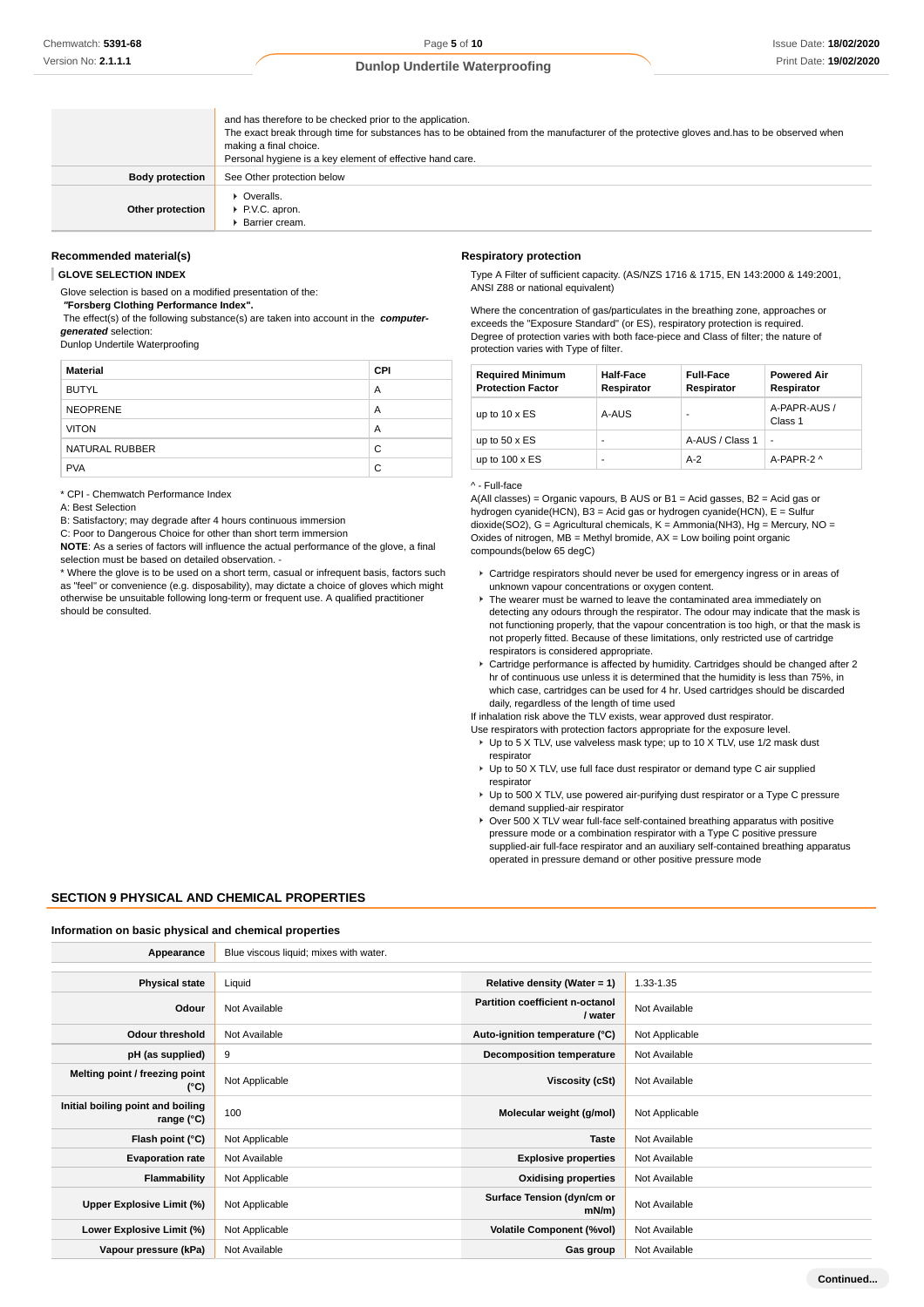|                        | and has therefore to be checked prior to the application.<br>The exact break through time for substances has to be obtained from the manufacturer of the protective gloves and has to be observed when<br>making a final choice.<br>Personal hygiene is a key element of effective hand care. |
|------------------------|-----------------------------------------------------------------------------------------------------------------------------------------------------------------------------------------------------------------------------------------------------------------------------------------------|
| <b>Body protection</b> | See Other protection below                                                                                                                                                                                                                                                                    |
| Other protection       | $\triangleright$ Overalls.<br>P.V.C. apron.<br>Barrier cream.                                                                                                                                                                                                                                 |

#### **Recommended material(s)**

**GLOVE SELECTION INDEX**

Glove selection is based on a modified presentation of the:

 **"Forsberg Clothing Performance Index".**

 The effect(s) of the following substance(s) are taken into account in the **computergenerated** selection:

Dunlop Undertile Waterproofing

| <b>Material</b> | <b>CPI</b> |
|-----------------|------------|
| <b>BUTYL</b>    | A          |
| <b>NEOPRENE</b> | A          |
| <b>VITON</b>    | A          |
| NATURAL RUBBER  | C          |
| <b>PVA</b>      | C          |

\* CPI - Chemwatch Performance Index

A: Best Selection

B: Satisfactory; may degrade after 4 hours continuous immersion

C: Poor to Dangerous Choice for other than short term immersion

**NOTE**: As a series of factors will influence the actual performance of the glove, a final selection must be based on detailed observation. -

\* Where the glove is to be used on a short term, casual or infrequent basis, factors such as "feel" or convenience (e.g. disposability), may dictate a choice of gloves which might otherwise be unsuitable following long-term or frequent use. A qualified practitioner should be consulted.

#### **Respiratory protection**

Type A Filter of sufficient capacity. (AS/NZS 1716 & 1715, EN 143:2000 & 149:2001, ANSI Z88 or national equivalent)

Where the concentration of gas/particulates in the breathing zone, approaches or exceeds the "Exposure Standard" (or ES), respiratory protection is required. Degree of protection varies with both face-piece and Class of filter; the nature of protection varies with Type of filter.

| <b>Required Minimum</b><br><b>Protection Factor</b> | <b>Half-Face</b><br>Respirator | <b>Full-Face</b><br>Respirator | <b>Powered Air</b><br>Respirator |
|-----------------------------------------------------|--------------------------------|--------------------------------|----------------------------------|
| up to $10 \times ES$                                | A-AUS                          |                                | A-PAPR-AUS /<br>Class 1          |
| up to $50 \times ES$                                | ۰                              | A-AUS / Class 1                | $\overline{a}$                   |
| up to $100 \times ES$                               | ۰                              | $A-2$                          | A-PAPR-2 ^                       |

#### ^ - Full-face

A(All classes) = Organic vapours, B AUS or B1 = Acid gasses, B2 = Acid gas or hydrogen cyanide(HCN), B3 = Acid gas or hydrogen cyanide(HCN), E = Sulfur dioxide(SO2), G = Agricultural chemicals, K = Ammonia(NH3), Hg = Mercury, NO = Oxides of nitrogen,  $MB =$  Methyl bromide,  $AX =$  Low boiling point organic compounds(below 65 degC)

- Cartridge respirators should never be used for emergency ingress or in areas of unknown vapour concentrations or oxygen content.
- ▶ The wearer must be warned to leave the contaminated area immediately on detecting any odours through the respirator. The odour may indicate that the mask is not functioning properly, that the vapour concentration is too high, or that the mask is not properly fitted. Because of these limitations, only restricted use of cartridge respirators is considered appropriate.
- Cartridge performance is affected by humidity. Cartridges should be changed after 2 hr of continuous use unless it is determined that the humidity is less than 75%, in which case, cartridges can be used for 4 hr. Used cartridges should be discarded daily, regardless of the length of time used

If inhalation risk above the TLV exists, wear approved dust respirator.

- Use respirators with protection factors appropriate for the exposure level. ▶ Up to 5 X TLV, use valveless mask type; up to 10 X TLV, use 1/2 mask dust respirator
- ▶ Up to 50 X TLV, use full face dust respirator or demand type C air supplied respirator
- ▶ Up to 500 X TLV, use powered air-purifying dust respirator or a Type C pressure demand supplied-air respirator
- $\triangleright$  Over 500 X TLV wear full-face self-contained breathing apparatus with positive pressure mode or a combination respirator with a Type C positive pressure supplied-air full-face respirator and an auxiliary self-contained breathing apparatus operated in pressure demand or other positive pressure mode

#### **SECTION 9 PHYSICAL AND CHEMICAL PROPERTIES**

#### **Information on basic physical and chemical properties**

| Appearance                                               | Blue viscous liquid; mixes with water. |                                            |                |
|----------------------------------------------------------|----------------------------------------|--------------------------------------------|----------------|
| <b>Physical state</b>                                    | Liquid                                 | Relative density (Water = $1$ )            | 1.33-1.35      |
| Odour                                                    | Not Available                          | Partition coefficient n-octanol<br>/ water | Not Available  |
| <b>Odour threshold</b>                                   | Not Available                          | Auto-ignition temperature (°C)             | Not Applicable |
| pH (as supplied)                                         | 9                                      | <b>Decomposition temperature</b>           | Not Available  |
| Melting point / freezing point<br>(°C)                   | Not Applicable                         | <b>Viscosity (cSt)</b>                     | Not Available  |
| Initial boiling point and boiling<br>range $(^{\circ}C)$ | 100                                    | Molecular weight (g/mol)                   | Not Applicable |
| Flash point (°C)                                         | Not Applicable                         | <b>Taste</b>                               | Not Available  |
| <b>Evaporation rate</b>                                  | Not Available                          | <b>Explosive properties</b>                | Not Available  |
| Flammability                                             | Not Applicable                         | <b>Oxidising properties</b>                | Not Available  |
| Upper Explosive Limit (%)                                | Not Applicable                         | Surface Tension (dyn/cm or<br>$mN/m$ )     | Not Available  |
| Lower Explosive Limit (%)                                | Not Applicable                         | <b>Volatile Component (%vol)</b>           | Not Available  |
| Vapour pressure (kPa)                                    | Not Available                          | Gas group                                  | Not Available  |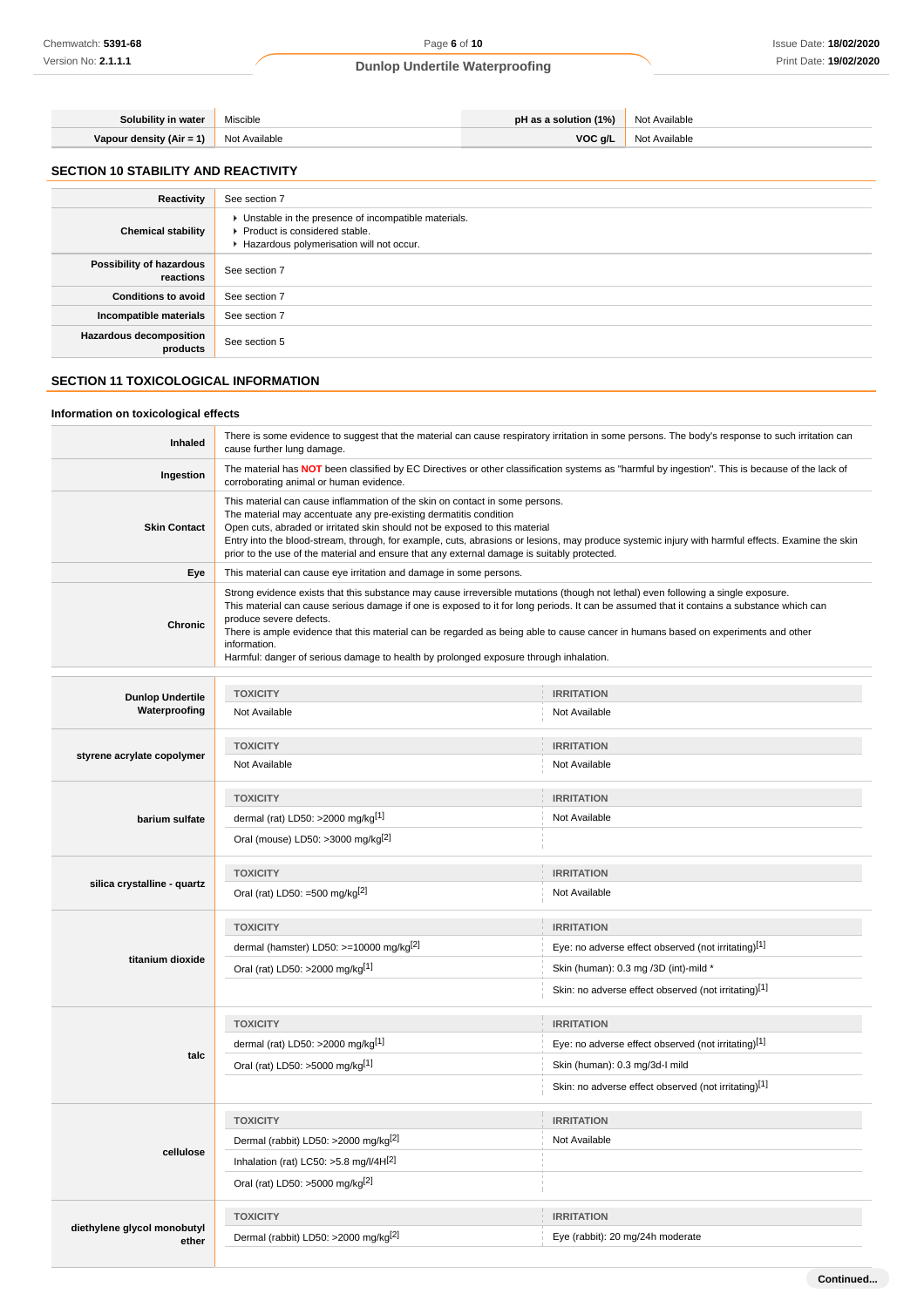| <b>Solubility in water   Miscible</b>    | <b>pH as a solution (1%)</b> Not Available |               |
|------------------------------------------|--------------------------------------------|---------------|
| Vapour density $(Air = 1)$ Not Available | VOC g/L                                    | Not Available |

## **SECTION 10 STABILITY AND REACTIVITY**

| Reactivity                                 | See section 7                                                                                                                        |
|--------------------------------------------|--------------------------------------------------------------------------------------------------------------------------------------|
| <b>Chemical stability</b>                  | • Unstable in the presence of incompatible materials.<br>▶ Product is considered stable.<br>Hazardous polymerisation will not occur. |
| Possibility of hazardous<br>reactions      | See section 7                                                                                                                        |
| <b>Conditions to avoid</b>                 | See section 7                                                                                                                        |
| Incompatible materials                     | See section 7                                                                                                                        |
| <b>Hazardous decomposition</b><br>products | See section 5                                                                                                                        |

## **SECTION 11 TOXICOLOGICAL INFORMATION**

#### **Information on toxicological effects**

| <b>Inhaled</b>      | There is some evidence to suggest that the material can cause respiratory irritation in some persons. The body's response to such irritation can<br>cause further lung damage.                                                                                                                                                                                                                                                                                                                                                                          |
|---------------------|---------------------------------------------------------------------------------------------------------------------------------------------------------------------------------------------------------------------------------------------------------------------------------------------------------------------------------------------------------------------------------------------------------------------------------------------------------------------------------------------------------------------------------------------------------|
| Ingestion           | The material has NOT been classified by EC Directives or other classification systems as "harmful by ingestion". This is because of the lack of<br>corroborating animal or human evidence.                                                                                                                                                                                                                                                                                                                                                              |
| <b>Skin Contact</b> | This material can cause inflammation of the skin on contact in some persons.<br>The material may accentuate any pre-existing dermatitis condition<br>Open cuts, abraded or irritated skin should not be exposed to this material<br>Entry into the blood-stream, through, for example, cuts, abrasions or lesions, may produce systemic injury with harmful effects. Examine the skin<br>prior to the use of the material and ensure that any external damage is suitably protected.                                                                    |
| Eye                 | This material can cause eye irritation and damage in some persons.                                                                                                                                                                                                                                                                                                                                                                                                                                                                                      |
| Chronic             | Strong evidence exists that this substance may cause irreversible mutations (though not lethal) even following a single exposure.<br>This material can cause serious damage if one is exposed to it for long periods. It can be assumed that it contains a substance which can<br>produce severe defects.<br>There is ample evidence that this material can be regarded as being able to cause cancer in humans based on experiments and other<br>information.<br>Harmful: danger of serious damage to health by prolonged exposure through inhalation. |

| <b>Dunlop Undertile</b><br>Waterproofing | <b>TOXICITY</b>                                     | <b>IRRITATION</b>                                    |
|------------------------------------------|-----------------------------------------------------|------------------------------------------------------|
|                                          | Not Available                                       | Not Available                                        |
|                                          | <b>TOXICITY</b>                                     | <b>IRRITATION</b>                                    |
| styrene acrylate copolymer               | Not Available                                       | Not Available                                        |
|                                          | <b>TOXICITY</b>                                     | <b>IRRITATION</b>                                    |
| barium sulfate                           | dermal (rat) LD50: >2000 mg/kg[1]                   | Not Available                                        |
|                                          | Oral (mouse) LD50: >3000 mg/kg <sup>[2]</sup>       |                                                      |
|                                          | <b>TOXICITY</b>                                     | <b>IRRITATION</b>                                    |
| silica crystalline - quartz              | Oral (rat) LD50: =500 mg/kg $^{[2]}$                | Not Available                                        |
|                                          | <b>TOXICITY</b>                                     | <b>IRRITATION</b>                                    |
|                                          | dermal (hamster) LD50: >=10000 mg/kg <sup>[2]</sup> | Eye: no adverse effect observed (not irritating)[1]  |
| titanium dioxide                         | Oral (rat) LD50: >2000 mg/kg[1]                     | Skin (human): 0.3 mg /3D (int)-mild *                |
|                                          |                                                     | Skin: no adverse effect observed (not irritating)[1] |
|                                          | <b>TOXICITY</b>                                     | <b>IRRITATION</b>                                    |
|                                          | dermal (rat) LD50: >2000 mg/kg[1]                   | Eye: no adverse effect observed (not irritating)[1]  |
| talc                                     | Oral (rat) LD50: >5000 mg/kg[1]                     | Skin (human): 0.3 mg/3d-l mild                       |
|                                          |                                                     | Skin: no adverse effect observed (not irritating)[1] |
|                                          | <b>TOXICITY</b>                                     | <b>IRRITATION</b>                                    |
|                                          | Dermal (rabbit) LD50: >2000 mg/kg <sup>[2]</sup>    | Not Available                                        |
| cellulose                                | Inhalation (rat) LC50: $>5.8$ mg/l/4H[2]            |                                                      |
|                                          | Oral (rat) LD50: >5000 mg/kg <sup>[2]</sup>         |                                                      |
|                                          | <b>TOXICITY</b>                                     | <b>IRRITATION</b>                                    |
| diethylene glycol monobutyl<br>ether     | Dermal (rabbit) LD50: >2000 mg/kg <sup>[2]</sup>    | Eye (rabbit): 20 mg/24h moderate                     |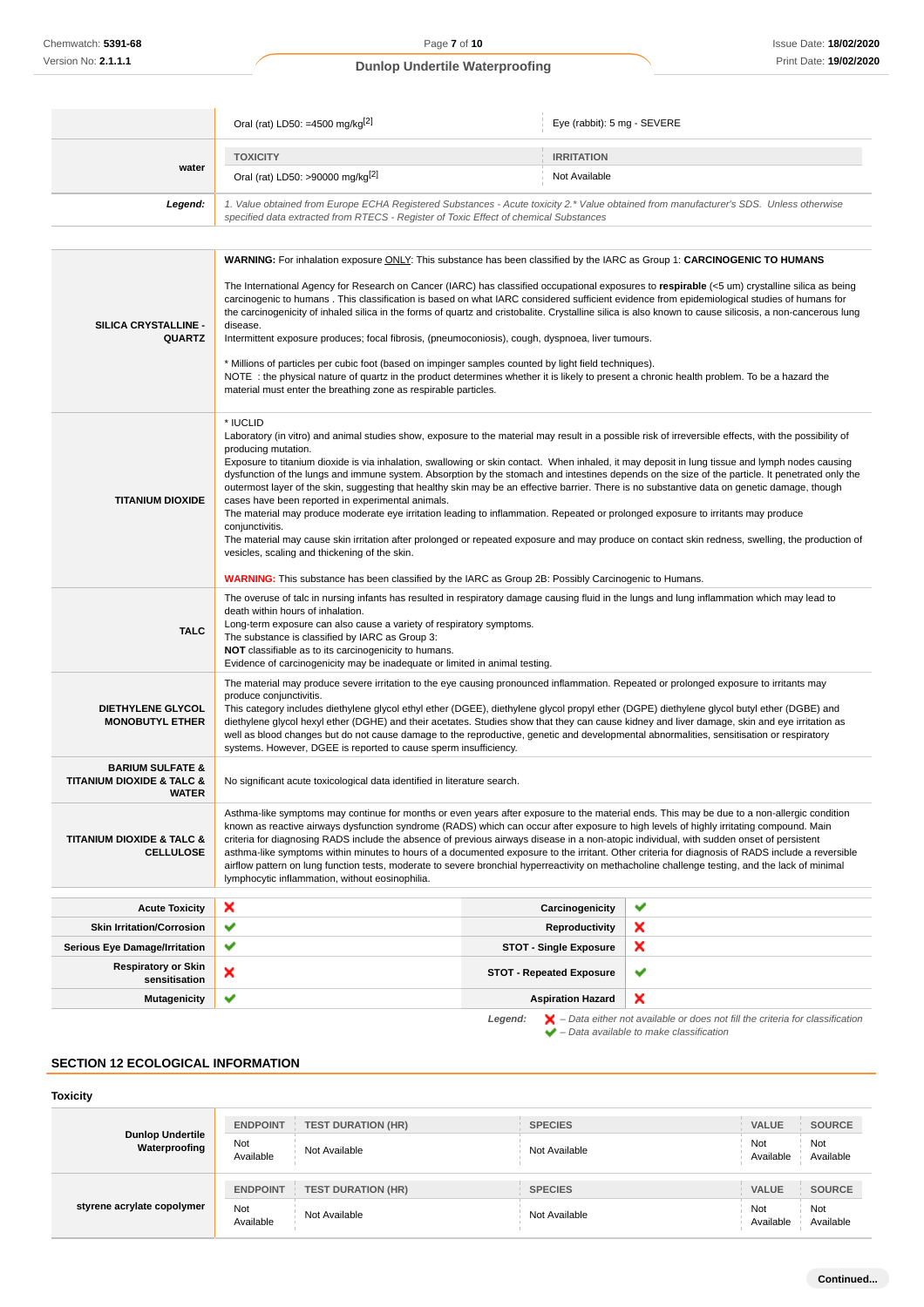|                                                                                                                                                                                                                                            | Oral (rat) LD50: =4500 mg/kg <sup>[2]</sup>                                                                                                                                                                                                                                                                                                                                                                                                                                                                                                                                                                                                                                                                                                                                                                                                                                                                                                                                                                                                                         | Eye (rabbit): 5 mg - SEVERE     |                                                                                                                                                                     |
|--------------------------------------------------------------------------------------------------------------------------------------------------------------------------------------------------------------------------------------------|---------------------------------------------------------------------------------------------------------------------------------------------------------------------------------------------------------------------------------------------------------------------------------------------------------------------------------------------------------------------------------------------------------------------------------------------------------------------------------------------------------------------------------------------------------------------------------------------------------------------------------------------------------------------------------------------------------------------------------------------------------------------------------------------------------------------------------------------------------------------------------------------------------------------------------------------------------------------------------------------------------------------------------------------------------------------|---------------------------------|---------------------------------------------------------------------------------------------------------------------------------------------------------------------|
|                                                                                                                                                                                                                                            | <b>TOXICITY</b>                                                                                                                                                                                                                                                                                                                                                                                                                                                                                                                                                                                                                                                                                                                                                                                                                                                                                                                                                                                                                                                     | <b>IRRITATION</b>               |                                                                                                                                                                     |
| water                                                                                                                                                                                                                                      | Oral (rat) LD50: >90000 mg/kg <sup>[2]</sup>                                                                                                                                                                                                                                                                                                                                                                                                                                                                                                                                                                                                                                                                                                                                                                                                                                                                                                                                                                                                                        | Not Available                   |                                                                                                                                                                     |
| 1. Value obtained from Europe ECHA Registered Substances - Acute toxicity 2.* Value obtained from manufacturer's SDS. Unless otherwise<br>Legend:<br>specified data extracted from RTECS - Register of Toxic Effect of chemical Substances |                                                                                                                                                                                                                                                                                                                                                                                                                                                                                                                                                                                                                                                                                                                                                                                                                                                                                                                                                                                                                                                                     |                                 |                                                                                                                                                                     |
|                                                                                                                                                                                                                                            | WARNING: For inhalation exposure ONLY: This substance has been classified by the IARC as Group 1: CARCINOGENIC TO HUMANS                                                                                                                                                                                                                                                                                                                                                                                                                                                                                                                                                                                                                                                                                                                                                                                                                                                                                                                                            |                                 |                                                                                                                                                                     |
| SILICA CRYSTALLINE -<br><b>QUARTZ</b>                                                                                                                                                                                                      | The International Agency for Research on Cancer (IARC) has classified occupational exposures to respirable (<5 um) crystalline silica as being<br>carcinogenic to humans. This classification is based on what IARC considered sufficient evidence from epidemiological studies of humans for<br>the carcinogenicity of inhaled silica in the forms of quartz and cristobalite. Crystalline silica is also known to cause silicosis, a non-cancerous lung<br>disease.<br>Intermittent exposure produces; focal fibrosis, (pneumoconiosis), cough, dyspnoea, liver tumours.<br>* Millions of particles per cubic foot (based on impinger samples counted by light field techniques).<br>NOTE: the physical nature of quartz in the product determines whether it is likely to present a chronic health problem. To be a hazard the<br>material must enter the breathing zone as respirable particles.                                                                                                                                                                |                                 |                                                                                                                                                                     |
| <b>TITANIUM DIOXIDE</b>                                                                                                                                                                                                                    | * IUCLID<br>Laboratory (in vitro) and animal studies show, exposure to the material may result in a possible risk of irreversible effects, with the possibility of<br>producing mutation.<br>Exposure to titanium dioxide is via inhalation, swallowing or skin contact. When inhaled, it may deposit in lung tissue and lymph nodes causing<br>dysfunction of the lungs and immune system. Absorption by the stomach and intestines depends on the size of the particle. It penetrated only the<br>outermost layer of the skin, suggesting that healthy skin may be an effective barrier. There is no substantive data on genetic damage, though<br>cases have been reported in experimental animals.<br>The material may produce moderate eye irritation leading to inflammation. Repeated or prolonged exposure to irritants may produce<br>conjunctivitis.<br>The material may cause skin irritation after prolonged or repeated exposure and may produce on contact skin redness, swelling, the production of<br>vesicles, scaling and thickening of the skin. |                                 |                                                                                                                                                                     |
|                                                                                                                                                                                                                                            | <b>WARNING:</b> This substance has been classified by the IARC as Group 2B: Possibly Carcinogenic to Humans.                                                                                                                                                                                                                                                                                                                                                                                                                                                                                                                                                                                                                                                                                                                                                                                                                                                                                                                                                        |                                 |                                                                                                                                                                     |
| <b>TALC</b>                                                                                                                                                                                                                                | The overuse of talc in nursing infants has resulted in respiratory damage causing fluid in the lungs and lung inflammation which may lead to<br>death within hours of inhalation.<br>Long-term exposure can also cause a variety of respiratory symptoms.<br>The substance is classified by IARC as Group 3:<br>NOT classifiable as to its carcinogenicity to humans.<br>Evidence of carcinogenicity may be inadequate or limited in animal testing.                                                                                                                                                                                                                                                                                                                                                                                                                                                                                                                                                                                                                |                                 |                                                                                                                                                                     |
| <b>DIETHYLENE GLYCOL</b><br><b>MONOBUTYL ETHER</b>                                                                                                                                                                                         | The material may produce severe irritation to the eye causing pronounced inflammation. Repeated or prolonged exposure to irritants may<br>produce conjunctivitis.<br>This category includes diethylene glycol ethyl ether (DGEE), diethylene glycol propyl ether (DGPE) diethylene glycol butyl ether (DGBE) and<br>diethylene glycol hexyl ether (DGHE) and their acetates. Studies show that they can cause kidney and liver damage, skin and eye irritation as<br>well as blood changes but do not cause damage to the reproductive, genetic and developmental abnormalities, sensitisation or respiratory<br>systems. However, DGEE is reported to cause sperm insufficiency.                                                                                                                                                                                                                                                                                                                                                                                   |                                 |                                                                                                                                                                     |
| <b>BARIUM SULFATE &amp;</b><br><b>TITANIUM DIOXIDE &amp; TALC &amp;</b><br><b>WATER</b>                                                                                                                                                    | No significant acute toxicological data identified in literature search.                                                                                                                                                                                                                                                                                                                                                                                                                                                                                                                                                                                                                                                                                                                                                                                                                                                                                                                                                                                            |                                 |                                                                                                                                                                     |
| <b>TITANIUM DIOXIDE &amp; TALC &amp;</b><br><b>CELLULOSE</b>                                                                                                                                                                               | Asthma-like symptoms may continue for months or even years after exposure to the material ends. This may be due to a non-allergic condition<br>known as reactive airways dysfunction syndrome (RADS) which can occur after exposure to high levels of highly irritating compound. Main<br>criteria for diagnosing RADS include the absence of previous airways disease in a non-atopic individual, with sudden onset of persistent<br>asthma-like symptoms within minutes to hours of a documented exposure to the irritant. Other criteria for diagnosis of RADS include a reversible<br>airflow pattern on lung function tests, moderate to severe bronchial hyperreactivity on methacholine challenge testing, and the lack of minimal<br>lymphocytic inflammation, without eosinophilia.                                                                                                                                                                                                                                                                        |                                 |                                                                                                                                                                     |
| <b>Acute Toxicity</b>                                                                                                                                                                                                                      | ×                                                                                                                                                                                                                                                                                                                                                                                                                                                                                                                                                                                                                                                                                                                                                                                                                                                                                                                                                                                                                                                                   | Carcinogenicity                 | ✔                                                                                                                                                                   |
| <b>Skin Irritation/Corrosion</b>                                                                                                                                                                                                           | ✔                                                                                                                                                                                                                                                                                                                                                                                                                                                                                                                                                                                                                                                                                                                                                                                                                                                                                                                                                                                                                                                                   | Reproductivity                  | ×                                                                                                                                                                   |
| Serious Eye Damage/Irritation                                                                                                                                                                                                              | ✔                                                                                                                                                                                                                                                                                                                                                                                                                                                                                                                                                                                                                                                                                                                                                                                                                                                                                                                                                                                                                                                                   | <b>STOT - Single Exposure</b>   | ×                                                                                                                                                                   |
| <b>Respiratory or Skin</b><br>sensitisation                                                                                                                                                                                                | ×                                                                                                                                                                                                                                                                                                                                                                                                                                                                                                                                                                                                                                                                                                                                                                                                                                                                                                                                                                                                                                                                   | <b>STOT - Repeated Exposure</b> | ✔                                                                                                                                                                   |
| <b>Mutagenicity</b>                                                                                                                                                                                                                        | ✔                                                                                                                                                                                                                                                                                                                                                                                                                                                                                                                                                                                                                                                                                                                                                                                                                                                                                                                                                                                                                                                                   | <b>Aspiration Hazard</b>        | ×                                                                                                                                                                   |
|                                                                                                                                                                                                                                            |                                                                                                                                                                                                                                                                                                                                                                                                                                                                                                                                                                                                                                                                                                                                                                                                                                                                                                                                                                                                                                                                     | Legend:                         | $\blacktriangleright$ – Data either not available or does not fill the criteria for classification<br>$\blacktriangleright$ - Data available to make classification |

## **SECTION 12 ECOLOGICAL INFORMATION**

## **Toxicity**

| <b>Dunlop Undertile</b><br>Waterproofing | <b>ENDPOINT</b><br>Not<br>Available | <b>TEST DURATION (HR)</b><br>Not Available | <b>SPECIES</b><br>Not Available | <b>VALUE</b><br>Not<br>Available | <b>SOURCE</b><br>Not<br>Available |
|------------------------------------------|-------------------------------------|--------------------------------------------|---------------------------------|----------------------------------|-----------------------------------|
| styrene acrylate copolymer               | <b>ENDPOINT</b><br>Not<br>Available | <b>TEST DURATION (HR)</b><br>Not Available | <b>SPECIES</b><br>Not Available | <b>VALUE</b><br>Not<br>Available | <b>SOURCE</b><br>Not<br>Available |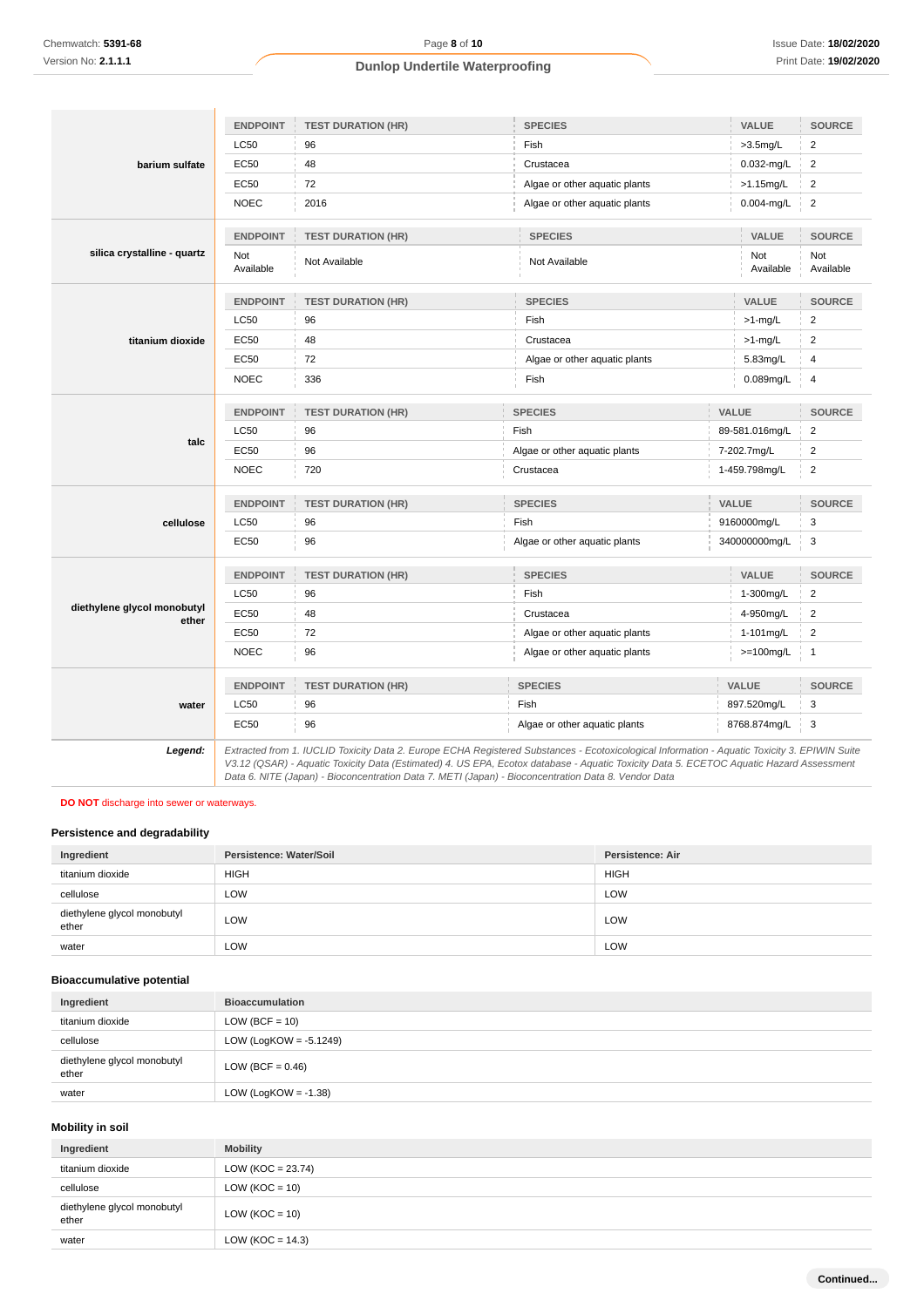| barium sulfate                       | <b>ENDPOINT</b>         | <b>TEST DURATION (HR)</b>                | <b>SPECIES</b>                | VALUE                                 | <b>SOURCE</b>           |
|--------------------------------------|-------------------------|------------------------------------------|-------------------------------|---------------------------------------|-------------------------|
|                                      | <b>LC50</b>             | 96                                       | Fish                          | $>3.5$ mg/L                           | $\overline{2}$          |
|                                      | <b>EC50</b>             | 48                                       | Crustacea<br>$0.032$ -mg/L    |                                       | $\overline{\mathbf{c}}$ |
|                                      | EC50                    | 72                                       | Algae or other aquatic plants | >1.15mg/L                             | $\overline{2}$          |
|                                      | <b>NOEC</b>             | 2016                                     | Algae or other aquatic plants | $0.004$ -mg/L                         | $\overline{2}$          |
|                                      | <b>ENDPOINT</b>         | <b>TEST DURATION (HR)</b>                | <b>SPECIES</b>                | VALUE                                 | <b>SOURCE</b>           |
| silica crystalline - quartz          | <b>Not</b><br>Available | Not Available                            | Not Available                 | Not<br>Available                      | Not<br>Available        |
|                                      | <b>ENDPOINT</b>         | <b>TEST DURATION (HR)</b>                | <b>SPECIES</b>                | VALUE                                 | <b>SOURCE</b>           |
|                                      | <b>LC50</b>             | 96                                       | Fish                          | $>1$ -mg/L                            | $\overline{c}$          |
| titanium dioxide                     | <b>EC50</b>             | 48                                       | Crustacea                     | $>1$ -mg/L                            | $\overline{2}$          |
|                                      | EC50                    | 72                                       | Algae or other aquatic plants | 5.83mg/L                              | 4                       |
|                                      | <b>NOEC</b>             | 336                                      | Fish                          | 0.089mg/L                             | 4                       |
|                                      | <b>ENDPOINT</b>         | <b>TEST DURATION (HR)</b>                | <b>SPECIES</b>                | VALUE                                 | <b>SOURCE</b>           |
|                                      | <b>LC50</b>             | 96                                       | Fish                          | 89-581.016mg/L                        | $\overline{\mathbf{c}}$ |
| talc                                 | <b>EC50</b>             | 96                                       | Algae or other aquatic plants | 7-202.7mg/L                           | $\boldsymbol{2}$        |
|                                      | <b>NOEC</b>             | 720                                      | Crustacea                     | 1-459.798mg/L                         | $\overline{2}$          |
|                                      | <b>ENDPOINT</b>         | <b>TEST DURATION (HR)</b>                | <b>SPECIES</b>                | VALUE                                 | <b>SOURCE</b>           |
| cellulose                            | <b>LC50</b>             | 96                                       | Fish                          | 9160000mg/L                           | 3                       |
|                                      | <b>EC50</b>             | 96                                       | Algae or other aquatic plants | 340000000mg/L                         | 3                       |
|                                      | <b>ENDPOINT</b>         | <b>TEST DURATION (HR)</b>                | <b>SPECIES</b>                | VALUE                                 | SOURCE                  |
|                                      | <b>LC50</b>             | 96                                       | Fish                          | 1-300mg/L                             | $\boldsymbol{2}$        |
| diethylene glycol monobutyl<br>ether | <b>EC50</b>             | 48                                       | Crustacea                     | 4-950mg/L                             |                         |
|                                      | <b>EC50</b>             | 72                                       | Algae or other aquatic plants | 1-101mg/L                             | $\overline{2}$          |
|                                      | <b>NOEC</b>             | 96                                       | Algae or other aquatic plants | $>=100mg/L$                           | $\overline{1}$          |
|                                      | <b>ENDPOINT</b>         | <b>TEST DURATION (HR)</b>                | <b>SPECIES</b>                | <b>VALUE</b>                          | <b>SOURCE</b>           |
| water                                | <b>LC50</b>             | 96                                       | Fish                          | 897.520mg/L                           | 3                       |
|                                      | <b>EC50</b>             | 96                                       | Algae or other aquatic plants | 8768.874mg/L                          | 3                       |
|                                      | $-$ .<br>$\cdots$       | H101107.395.077<br>T''<br>$\overline{a}$ | 10111                         | and the control of the con-<br>$\sim$ | FOMIMLO                 |

**Legend:** Extracted from 1. IUCLID Toxicity Data 2. Europe ECHA Registered Substances - Ecotoxicological Information - Aquatic Toxicity 3. EPIWIN Suite V3.12 (QSAR) - Aquatic Toxicity Data (Estimated) 4. US EPA, Ecotox database - Aquatic Toxicity Data 5. ECETOC Aquatic Hazard Assessment Data 6. NITE (Japan) - Bioconcentration Data 7. METI (Japan) - Bioconcentration Data 8. Vendor Data

### **DO NOT** discharge into sewer or waterways.

## **Persistence and degradability**

| Ingredient                           | Persistence: Water/Soil | <b>Persistence: Air</b> |
|--------------------------------------|-------------------------|-------------------------|
| titanium dioxide                     | <b>HIGH</b>             | <b>HIGH</b>             |
| cellulose                            | LOW                     | LOW                     |
| diethylene glycol monobutyl<br>ether | LOW                     | LOW                     |
| water                                | LOW                     | LOW                     |

### **Bioaccumulative potential**

| Ingredient                           | <b>Bioaccumulation</b>    |
|--------------------------------------|---------------------------|
| titanium dioxide                     | $LOW (BCF = 10)$          |
| cellulose                            | LOW (LogKOW = $-5.1249$ ) |
| diethylene glycol monobutyl<br>ether | LOW (BCF = $0.46$ )       |
| water                                | LOW (LogKOW = $-1.38$ )   |

## **Mobility in soil**

| Ingredient                           | <b>Mobility</b>       |
|--------------------------------------|-----------------------|
| titanium dioxide                     | LOW ( $KOC = 23.74$ ) |
| cellulose                            | LOW ( $KOC = 10$ )    |
| diethylene glycol monobutyl<br>ether | $LOW (KOC = 10)$      |
| water                                | LOW ( $KOC = 14.3$ )  |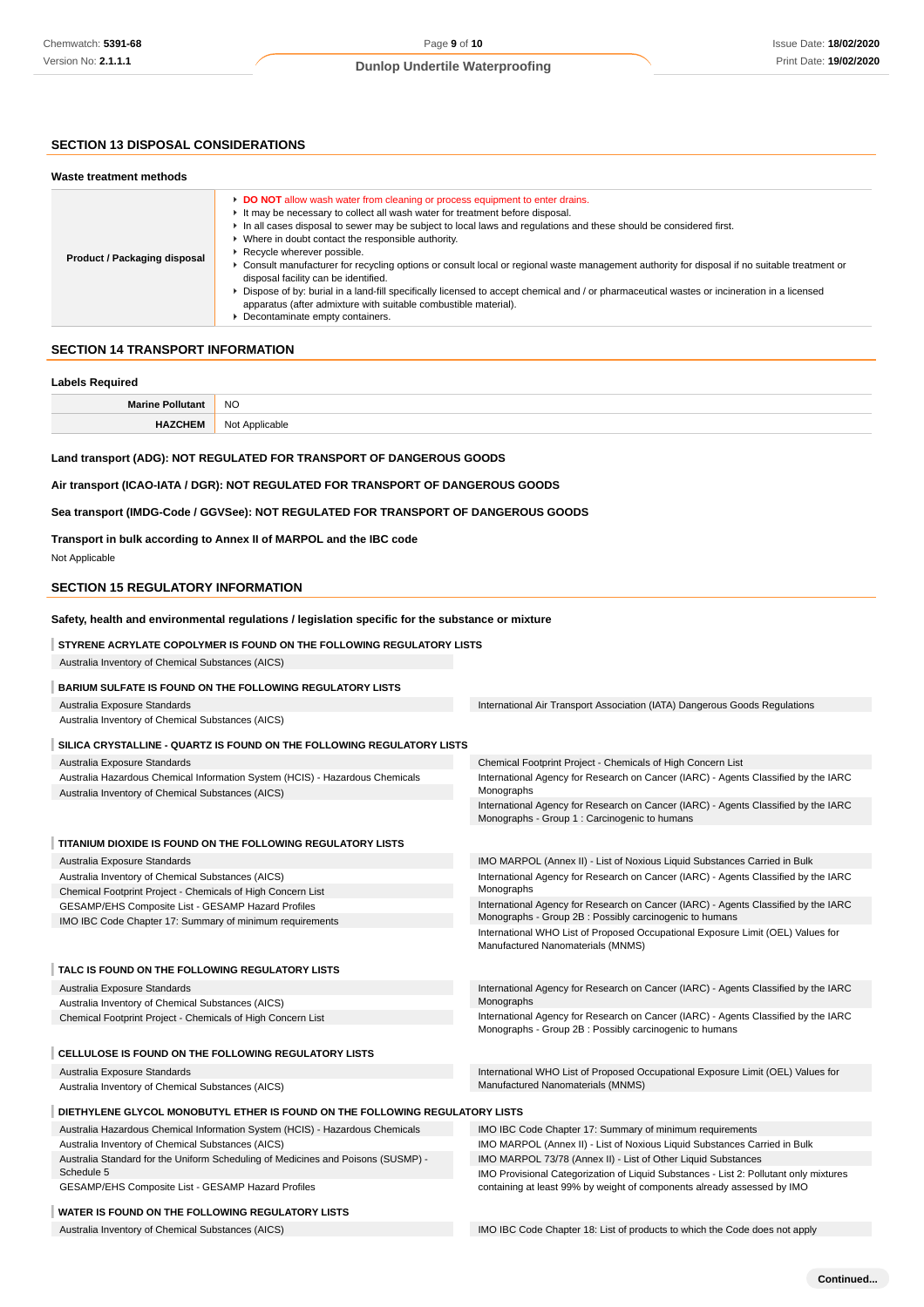## **SECTION 13 DISPOSAL CONSIDERATIONS**

| Product / Packaging disposal | ► DO NOT allow wash water from cleaning or process equipment to enter drains.<br>It may be necessary to collect all wash water for treatment before disposal.<br>In all cases disposal to sewer may be subject to local laws and regulations and these should be considered first.<br>• Where in doubt contact the responsible authority.<br>▶ Recycle wherever possible.<br>► Consult manufacturer for recycling options or consult local or regional waste management authority for disposal if no suitable treatment or<br>disposal facility can be identified.<br>► Dispose of by: burial in a land-fill specifically licensed to accept chemical and / or pharmaceutical wastes or incineration in a licensed<br>apparatus (after admixture with suitable combustible material).<br>• Decontaminate empty containers. |
|------------------------------|----------------------------------------------------------------------------------------------------------------------------------------------------------------------------------------------------------------------------------------------------------------------------------------------------------------------------------------------------------------------------------------------------------------------------------------------------------------------------------------------------------------------------------------------------------------------------------------------------------------------------------------------------------------------------------------------------------------------------------------------------------------------------------------------------------------------------|
|------------------------------|----------------------------------------------------------------------------------------------------------------------------------------------------------------------------------------------------------------------------------------------------------------------------------------------------------------------------------------------------------------------------------------------------------------------------------------------------------------------------------------------------------------------------------------------------------------------------------------------------------------------------------------------------------------------------------------------------------------------------------------------------------------------------------------------------------------------------|

#### **Labels Required**

| $BA -$     | <b>NO</b>                 |
|------------|---------------------------|
| пн<br>≡IVI | N∩<br>: Applicable<br>ישו |
|            |                           |

## **Land transport (ADG): NOT REGULATED FOR TRANSPORT OF DANGEROUS GOODS**

**Air transport (ICAO-IATA / DGR): NOT REGULATED FOR TRANSPORT OF DANGEROUS GOODS**

#### **Sea transport (IMDG-Code / GGVSee): NOT REGULATED FOR TRANSPORT OF DANGEROUS GOODS**

#### **Transport in bulk according to Annex II of MARPOL and the IBC code**

Not Applicable

## **SECTION 15 REGULATORY INFORMATION**

#### **Safety, health and environmental regulations / legislation specific for the substance or mixture**

#### **STYRENE ACRYLATE COPOLYMER IS FOUND ON THE FOLLOWING REGULATORY LISTS**

Australia Inventory of Chemical Substances (AICS)

### **BARIUM SULFATE IS FOUND ON THE FOLLOWING REGULATORY LISTS**

Australia Exposure Standards Australia Inventory of Chemical Substances (AICS) International Air Transport Association (IATA) Dangerous Goods Regulations

#### **SILICA CRYSTALLINE - QUARTZ IS FOUND ON THE FOLLOWING REGULATORY LISTS**

| Australia Exposure Standards                                                 | Chemical Footprint Project - Chemicals of High Concern List                                                                                       |
|------------------------------------------------------------------------------|---------------------------------------------------------------------------------------------------------------------------------------------------|
| Australia Hazardous Chemical Information System (HCIS) - Hazardous Chemicals | International Agency for Research on Cancer (IARC) - Agents Classified by the IARC                                                                |
| Australia Inventory of Chemical Substances (AICS)                            | Monographs<br>International Agency for Research on Cancer (IARC) - Agents Classified by the IARC<br>Monographs - Group 1 : Carcinogenic to humans |
|                                                                              |                                                                                                                                                   |

## **TITANIUM DIOXIDE IS FOUND ON THE FOLLOWING REGULATORY LISTS**

| Australia Exposure Standards                                                   | IMO MARPOL (Annex II) - List of Noxious Liquid Substances Carried in Bulk          |
|--------------------------------------------------------------------------------|------------------------------------------------------------------------------------|
| Australia Inventory of Chemical Substances (AICS)                              | International Agency for Research on Cancer (IARC) - Agents Classified by the IARC |
| Chemical Footprint Project - Chemicals of High Concern List                    | Monographs                                                                         |
| GESAMP/EHS Composite List - GESAMP Hazard Profiles                             | International Agency for Research on Cancer (IARC) - Agents Classified by the IARC |
| IMO IBC Code Chapter 17: Summary of minimum requirements                       | Monographs - Group 2B : Possibly carcinogenic to humans                            |
|                                                                                | International WHO List of Proposed Occupational Exposure Limit (OEL) Values for    |
|                                                                                | Manufactured Nanomaterials (MNMS)                                                  |
| TALC IS FOUND ON THE FOLLOWING REGULATORY LISTS                                |                                                                                    |
| Australia Exposure Standards                                                   | International Agency for Research on Cancer (IARC) - Agents Classified by the IARC |
| Australia Inventory of Chemical Substances (AICS)                              | Monographs                                                                         |
| Chemical Footprint Project - Chemicals of High Concern List                    | International Agency for Research on Cancer (IARC) - Agents Classified by the IARC |
|                                                                                | Monographs - Group 2B: Possibly carcinogenic to humans                             |
| <b>CELLULOSE IS FOUND ON THE FOLLOWING REGULATORY LISTS</b>                    |                                                                                    |
| Australia Exposure Standards                                                   | International WHO List of Proposed Occupational Exposure Limit (OEL) Values for    |
| Australia Inventory of Chemical Substances (AICS)                              | Manufactured Nanomaterials (MNMS)                                                  |
| DIETHVI ENE CLYCOL MONORLITYL ETHER IS FOUND ON THE EOLLOWING REGULATORY LISTS |                                                                                    |

## **INE GLYCOL MONOBUTYL ETHER IS FOUND ON THE FOLLOWING REGULATORY LISTS**

Australia Hazardous Chemical Information System (HCIS) - Hazardous Chemicals Australia Inventory of Chemical Substances (AICS) Australia Standard for the Uniform Scheduling of Medicines and Poisons (SUSMP) -

Schedule 5 GESAMP/EHS Composite List - GESAMP Hazard Profiles

## **WATER IS FOUND ON THE FOLLOWING REGULATORY LISTS**

Australia Inventory of Chemical Substances (AICS) **IMO IBC Code Chapter 18: List of products to which the Code does not apply** 

IMO MARPOL (Annex II) - List of Noxious Liquid Substances Carried in Bulk IMO MARPOL 73/78 (Annex II) - List of Other Liquid Substances

IMO Provisional Categorization of Liquid Substances - List 2: Pollutant only mixtures containing at least 99% by weight of components already assessed by IMO

IMO IBC Code Chapter 17: Summary of minimum requirements